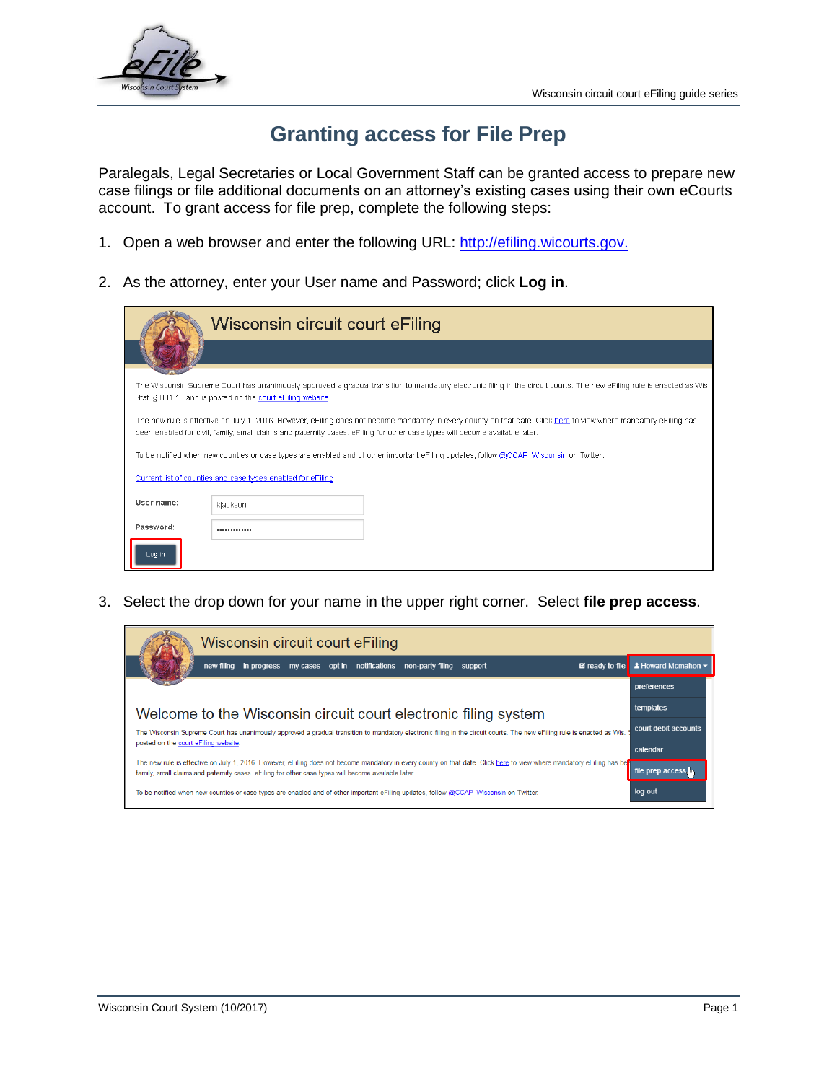

## **Granting access for File Prep**

Paralegals, Legal Secretaries or Local Government Staff can be granted access to prepare new case filings or file additional documents on an attorney's existing cases using their own eCourts account. To grant access for file prep, complete the following steps:

- 1. Open a web browser and enter the following URL: [http://efiling.wicourts.gov.](http://efiling.wicourts.gov/)
- 2. As the attorney, enter your User name and Password; click **Log in**.

|            | Wisconsin circuit court eFiling                                                                                                                                                                                                                                                                   |  |  |  |  |  |
|------------|---------------------------------------------------------------------------------------------------------------------------------------------------------------------------------------------------------------------------------------------------------------------------------------------------|--|--|--|--|--|
|            |                                                                                                                                                                                                                                                                                                   |  |  |  |  |  |
|            | The Wisconsin Supreme Court has unanimously approved a gradual transition to mandatory electronic filing in the circuit courts. The new eFiling rule is enacted as Wis.<br>Stat. § 801.18 and is posted on the court eFiling website.                                                             |  |  |  |  |  |
|            | The new rule is effective on July 1, 2016. However, eFiling does not become mandatory in every county on that date. Click here to view where mandatory eFiling has<br>been enabled for civil, family, small claims and paternity cases, eFiling for other case types will become available later. |  |  |  |  |  |
|            | To be notified when new counties or case types are enabled and of other important eFiling updates, follow @CCAP Wisconsin on Twitter.                                                                                                                                                             |  |  |  |  |  |
|            | Current list of counties and case types enabled for eFiling                                                                                                                                                                                                                                       |  |  |  |  |  |
| User name: | kiackson                                                                                                                                                                                                                                                                                          |  |  |  |  |  |
| Password:  | -------------                                                                                                                                                                                                                                                                                     |  |  |  |  |  |
| Log in     |                                                                                                                                                                                                                                                                                                   |  |  |  |  |  |

3. Select the drop down for your name in the upper right corner. Select **file prep access**.

| Wisconsin circuit court eFiling                                                                                                                                                                                                                                              |                                |  |  |  |  |  |
|------------------------------------------------------------------------------------------------------------------------------------------------------------------------------------------------------------------------------------------------------------------------------|--------------------------------|--|--|--|--|--|
| new filing in progress my cases opt in notifications non-party filing support<br>$\mathbf{\mathbf{E}}$ ready to file                                                                                                                                                         | <u><b>A Howard Mcmahon</b></u> |  |  |  |  |  |
|                                                                                                                                                                                                                                                                              | preferences                    |  |  |  |  |  |
| Welcome to the Wisconsin circuit court electronic filing system                                                                                                                                                                                                              |                                |  |  |  |  |  |
| court debit accounts<br>The Wisconsin Supreme Court has unanimously approved a gradual transition to mandatory electronic filing in the circuit courts. The new eFiling rule is enacted as Wis.                                                                              |                                |  |  |  |  |  |
| posted on the court eFiling website.                                                                                                                                                                                                                                         |                                |  |  |  |  |  |
| The new rule is effective on July 1, 2016. However, eFiling does not become mandatory in every county on that date. Click here to view where mandatory eFiling has be<br>family, small claims and paternity cases, eFiling for other case types will become available later. | سا,file prep access            |  |  |  |  |  |
| To be notified when new counties or case types are enabled and of other important eFiling updates, follow @CCAP Wisconsin on Twitter.                                                                                                                                        | log out                        |  |  |  |  |  |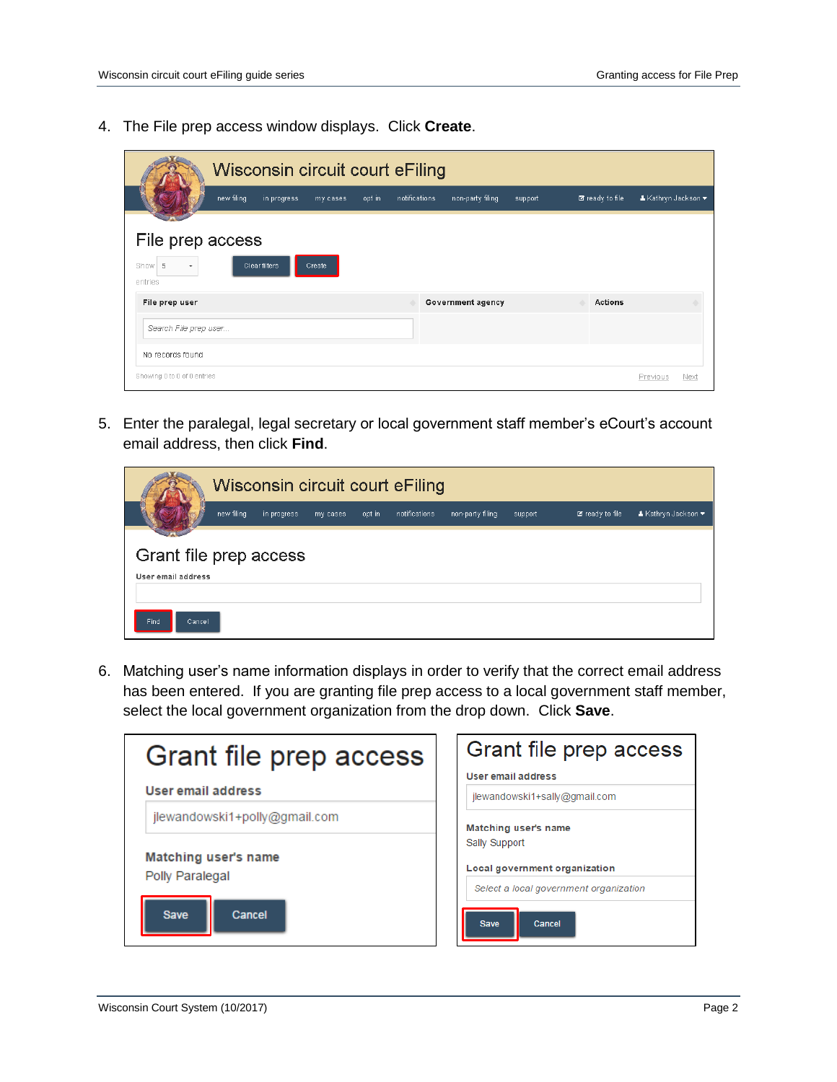4. The File prep access window displays. Click **Create**.

| Wisconsin circuit court eFiling            |                    |                                   |         |                        |                     |      |  |
|--------------------------------------------|--------------------|-----------------------------------|---------|------------------------|---------------------|------|--|
| new filing<br>in progress                  | opt in<br>my cases | notifications<br>non-party filing | support | <b>Ø</b> ready to file | ▲ Kathryn Jackson ▼ |      |  |
| File prep access                           |                    |                                   |         |                        |                     |      |  |
| Clear filters<br>5<br>Show<br>۰<br>entries | Create             |                                   |         |                        |                     |      |  |
| File prep user                             |                    | Government agency                 |         | <b>Actions</b>         |                     |      |  |
| Search File prep user                      |                    |                                   |         |                        |                     |      |  |
| No records found                           |                    |                                   |         |                        |                     |      |  |
| Showing 0 to 0 of 0 entries                |                    |                                   |         |                        | Previous            | Next |  |

5. Enter the paralegal, legal secretary or local government staff member's eCourt's account email address, then click **Find**.

|                                              | Wisconsin circuit court eFiling |             |          |        |               |                  |         |                        |                     |
|----------------------------------------------|---------------------------------|-------------|----------|--------|---------------|------------------|---------|------------------------|---------------------|
|                                              | new filing                      | in progress | my cases | opt in | notifications | non-party filing | support | <b>E</b> ready to file | ▲ Kathryn Jackson ▼ |
| Grant file prep access<br>User email address |                                 |             |          |        |               |                  |         |                        |                     |
| Find.<br>Cancel                              |                                 |             |          |        |               |                  |         |                        |                     |

6. Matching user's name information displays in order to verify that the correct email address has been entered. If you are granting file prep access to a local government staff member, select the local government organization from the drop down. Click **Save**.

| Grant file prep access        | Grant file prep access                 |  |  |  |
|-------------------------------|----------------------------------------|--|--|--|
|                               | User email address                     |  |  |  |
| User email address            | jlewandowski1+sally@gmail.com          |  |  |  |
| jlewandowski1+polly@gmail.com | Matching user's name                   |  |  |  |
|                               | Sally Support                          |  |  |  |
| Matching user's name          | Local government organization          |  |  |  |
| Polly Paralegal               | Select a local government organization |  |  |  |
| Cancel<br><b>Save</b>         | <b>Save</b><br>Cancel                  |  |  |  |